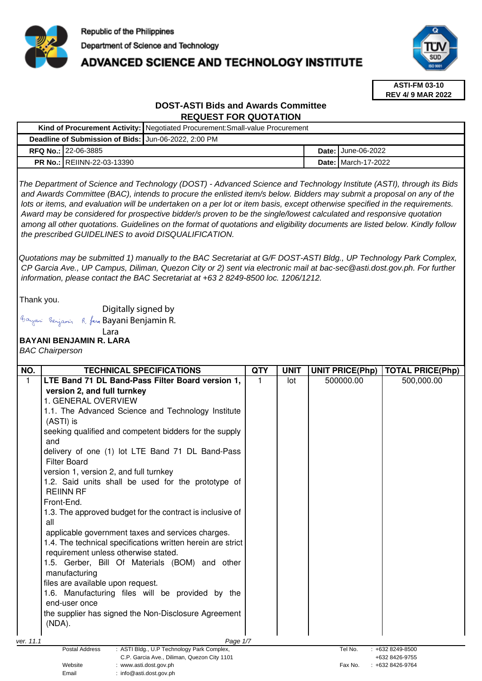

# **ADVANCED SCIENCE AND TECHNOLOGY INSTITUTE**



**ASTI-FM 03-10 REV 4/ 9 MAR 2022**

### **DOST-ASTI Bids and Awards Committee REQUEST FOR QUOTATION**

| Kind of Procurement Activity: Negotiated Procurement: Small-value Procurement                                                                                                                                                                                                                                                                                                                                                                                                                                                                                                                                                        |  |                              |  |  |  |
|--------------------------------------------------------------------------------------------------------------------------------------------------------------------------------------------------------------------------------------------------------------------------------------------------------------------------------------------------------------------------------------------------------------------------------------------------------------------------------------------------------------------------------------------------------------------------------------------------------------------------------------|--|------------------------------|--|--|--|
| Deadline of Submission of Bids: Jun-06-2022, 2:00 PM                                                                                                                                                                                                                                                                                                                                                                                                                                                                                                                                                                                 |  |                              |  |  |  |
| <b>RFQ No.: 22-06-3885</b>                                                                                                                                                                                                                                                                                                                                                                                                                                                                                                                                                                                                           |  | <b>Date: June-06-2022</b>    |  |  |  |
| <b>PR No.: REIINN-22-03-13390</b>                                                                                                                                                                                                                                                                                                                                                                                                                                                                                                                                                                                                    |  | <b>Date: I</b> March-17-2022 |  |  |  |
| The Department of Science and Technology (DOST) - Advanced Science and Technology Institute (ASTI), through its Bids<br>and Awards Committee (BAC), intends to procure the enlisted item/s below. Bidders may submit a proposal on any of the<br>lots or items, and evaluation will be undertaken on a per lot or item basis, except otherwise specified in the requirements.<br>Award may be considered for prospective bidder/s proven to be the single/lowest calculated and responsive quotation<br>among all other quotations. Guidelines on the format of quotations and eligibility documents are listed below. Kindly follow |  |                              |  |  |  |

Quotations may be submitted 1) manually to the BAC Secretariat at G/F DOST-ASTI Bldg., UP Technology Park Complex, CP Garcia Ave., UP Campus, Diliman, Quezon City or 2) sent via electronic mail at bac-sec@asti.dost.gov.ph. For further information, please contact the BAC Secretariat at +63 2 8249-8500 loc. 1206/1212.

Thank you.

Digitally signed by

the prescribed GUIDELINES to avoid DISQUALIFICATION.

Bayani Benjamin R. fan Bayani Benjamin R.

## Lara

# **BAYANI BENJAMIN R. LARA**

BAC Chairperson

| NO.       | <b>TECHNICAL SPECIFICATIONS</b>                                       | <b>QTY</b> | <b>UNIT</b> | <b>UNIT PRICE(Php)</b> | <b>TOTAL PRICE(Php)</b> |
|-----------|-----------------------------------------------------------------------|------------|-------------|------------------------|-------------------------|
| 1         | LTE Band 71 DL Band-Pass Filter Board version 1,                      |            | lot         | 500000.00              | 500,000.00              |
|           | version 2, and full turnkey                                           |            |             |                        |                         |
|           | 1. GENERAL OVERVIEW                                                   |            |             |                        |                         |
|           | 1.1. The Advanced Science and Technology Institute                    |            |             |                        |                         |
|           | (ASTI) is                                                             |            |             |                        |                         |
|           | seeking qualified and competent bidders for the supply                |            |             |                        |                         |
|           | and                                                                   |            |             |                        |                         |
|           | delivery of one (1) lot LTE Band 71 DL Band-Pass                      |            |             |                        |                         |
|           | <b>Filter Board</b>                                                   |            |             |                        |                         |
|           | version 1, version 2, and full turnkey                                |            |             |                        |                         |
|           | 1.2. Said units shall be used for the prototype of                    |            |             |                        |                         |
|           | <b>REIINN RF</b>                                                      |            |             |                        |                         |
|           | Front-End.                                                            |            |             |                        |                         |
|           | 1.3. The approved budget for the contract is inclusive of             |            |             |                        |                         |
|           | all                                                                   |            |             |                        |                         |
|           | applicable government taxes and services charges.                     |            |             |                        |                         |
|           | 1.4. The technical specifications written herein are strict           |            |             |                        |                         |
|           | requirement unless otherwise stated.                                  |            |             |                        |                         |
|           | 1.5. Gerber, Bill Of Materials (BOM) and other                        |            |             |                        |                         |
|           | manufacturing                                                         |            |             |                        |                         |
|           | files are available upon request.                                     |            |             |                        |                         |
|           | 1.6. Manufacturing files will be provided by the                      |            |             |                        |                         |
|           | end-user once                                                         |            |             |                        |                         |
|           | the supplier has signed the Non-Disclosure Agreement                  |            |             |                        |                         |
|           | (NDA).                                                                |            |             |                        |                         |
| ver. 11.1 | Page 1/7                                                              |            |             |                        |                         |
|           | <b>Postal Address</b><br>: ASTI Bldg., U.P Technology Park Complex,   |            |             | Tel No.                | +632 8249-8500          |
|           | C.P. Garcia Ave., Diliman, Quezon City 1101                           |            |             |                        | +632 8426-9755          |
|           | Website<br>: www.asti.dost.gov.ph<br>: info@asti.dost.gov.ph<br>Email |            |             | Fax No.                | $: +6328426-9764$       |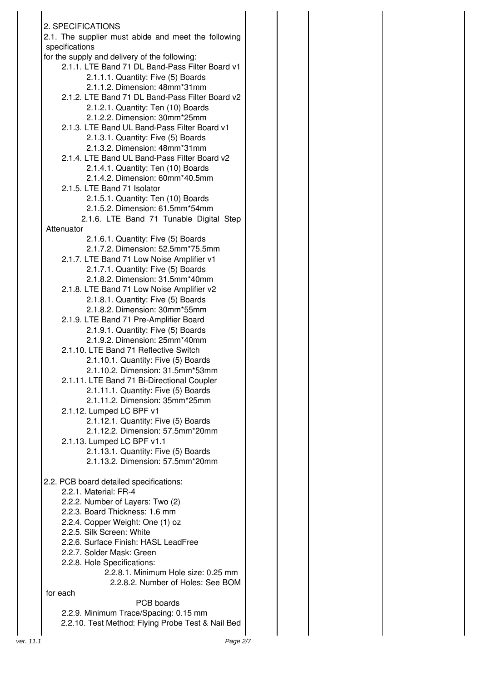2. SPECIFICATIONS 2.1. The supplier must abide and meet the following specifications for the supply and delivery of the following: 2.1.1. LTE Band 71 DL Band-Pass Filter Board v1 2.1.1.1. Quantity: Five (5) Boards 2.1.1.2. Dimension: 48mm\*31mm 2.1.2. LTE Band 71 DL Band-Pass Filter Board v2 2.1.2.1. Quantity: Ten (10) Boards 2.1.2.2. Dimension: 30mm\*25mm 2.1.3. LTE Band UL Band-Pass Filter Board v1 2.1.3.1. Quantity: Five (5) Boards 2.1.3.2. Dimension: 48mm\*31mm 2.1.4. LTE Band UL Band-Pass Filter Board v2 2.1.4.1. Quantity: Ten (10) Boards 2.1.4.2. Dimension: 60mm\*40.5mm 2.1.5. LTE Band 71 Isolator 2.1.5.1. Quantity: Ten (10) Boards 2.1.5.2. Dimension: 61.5mm\*54mm 2.1.6. LTE Band 71 Tunable Digital Step Attenuator 2.1.6.1. Quantity: Five (5) Boards 2.1.7.2. Dimension: 52.5mm\*75.5mm 2.1.7. LTE Band 71 Low Noise Amplifier v1 2.1.7.1. Quantity: Five (5) Boards 2.1.8.2. Dimension: 31.5mm\*40mm 2.1.8. LTE Band 71 Low Noise Amplifier v2 2.1.8.1. Quantity: Five (5) Boards 2.1.8.2. Dimension: 30mm\*55mm 2.1.9. LTE Band 71 Pre-Amplifier Board 2.1.9.1. Quantity: Five (5) Boards 2.1.9.2. Dimension: 25mm\*40mm 2.1.10. LTE Band 71 Reflective Switch 2.1.10.1. Quantity: Five (5) Boards 2.1.10.2. Dimension: 31.5mm\*53mm 2.1.11. LTE Band 71 Bi-Directional Coupler 2.1.11.1. Quantity: Five (5) Boards 2.1.11.2. Dimension: 35mm\*25mm 2.1.12. Lumped LC BPF v1 2.1.12.1. Quantity: Five (5) Boards 2.1.12.2. Dimension: 57.5mm\*20mm 2.1.13. Lumped LC BPF v1.1 2.1.13.1. Quantity: Five (5) Boards 2.1.13.2. Dimension: 57.5mm\*20mm 2.2. PCB board detailed specifications: 2.2.1. Material: FR-4 2.2.2. Number of Layers: Two (2) 2.2.3. Board Thickness: 1.6 mm 2.2.4. Copper Weight: One (1) oz 2.2.5. Silk Screen: White 2.2.6. Surface Finish: HASL LeadFree 2.2.7. Solder Mask: Green 2.2.8. Hole Specifications: 2.2.8.1. Minimum Hole size: 0.25 mm 2.2.8.2. Number of Holes: See BOM for each PCB boards 2.2.9. Minimum Trace/Spacing: 0.15 mm 2.2.10. Test Method: Flying Probe Test & Nail Bed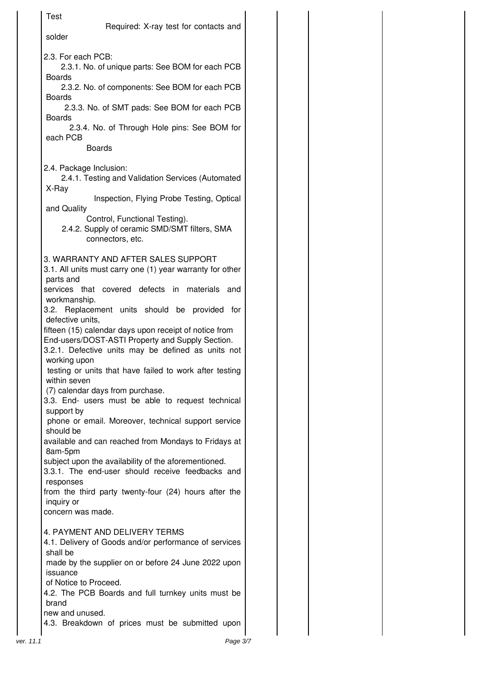|           | Test                                                                                                                                                                                                                                                                        |
|-----------|-----------------------------------------------------------------------------------------------------------------------------------------------------------------------------------------------------------------------------------------------------------------------------|
|           | Required: X-ray test for contacts and<br>solder                                                                                                                                                                                                                             |
|           | 2.3. For each PCB:<br>2.3.1. No. of unique parts: See BOM for each PCB<br><b>Boards</b><br>2.3.2. No. of components: See BOM for each PCB<br><b>Boards</b><br>2.3.3. No. of SMT pads: See BOM for each PCB<br><b>Boards</b><br>2.3.4. No. of Through Hole pins: See BOM for |
|           | each PCB<br><b>Boards</b>                                                                                                                                                                                                                                                   |
|           | 2.4. Package Inclusion:<br>2.4.1. Testing and Validation Services (Automated<br>X-Ray<br>Inspection, Flying Probe Testing, Optical<br>and Quality<br>Control, Functional Testing).<br>2.4.2. Supply of ceramic SMD/SMT filters, SMA                                         |
|           | connectors, etc.                                                                                                                                                                                                                                                            |
|           | 3. WARRANTY AND AFTER SALES SUPPORT<br>3.1. All units must carry one (1) year warranty for other<br>parts and<br>services<br>that covered defects in<br>materials<br>and                                                                                                    |
|           | workmanship.<br>3.2. Replacement units should be provided<br>for<br>defective units,<br>fifteen (15) calendar days upon receipt of notice from                                                                                                                              |
|           | End-users/DOST-ASTI Property and Supply Section.<br>3.2.1. Defective units may be defined as units not<br>working upon<br>testing or units that have failed to work after testing<br>within seven                                                                           |
|           | (7) calendar days from purchase.<br>3.3. End- users must be able to request technical<br>support by<br>phone or email. Moreover, technical support service                                                                                                                  |
|           | should be<br>available and can reached from Mondays to Fridays at<br>8am-5pm                                                                                                                                                                                                |
|           | subject upon the availability of the aforementioned.<br>3.3.1. The end-user should receive feedbacks and                                                                                                                                                                    |
|           | responses<br>from the third party twenty-four (24) hours after the<br>inquiry or<br>concern was made.                                                                                                                                                                       |
|           | 4. PAYMENT AND DELIVERY TERMS<br>4.1. Delivery of Goods and/or performance of services<br>shall be                                                                                                                                                                          |
|           | made by the supplier on or before 24 June 2022 upon<br>issuance<br>of Notice to Proceed.                                                                                                                                                                                    |
|           | 4.2. The PCB Boards and full turnkey units must be<br>brand<br>new and unused.                                                                                                                                                                                              |
|           | 4.3. Breakdown of prices must be submitted upon                                                                                                                                                                                                                             |
| ver. 11.1 | Page 3/7                                                                                                                                                                                                                                                                    |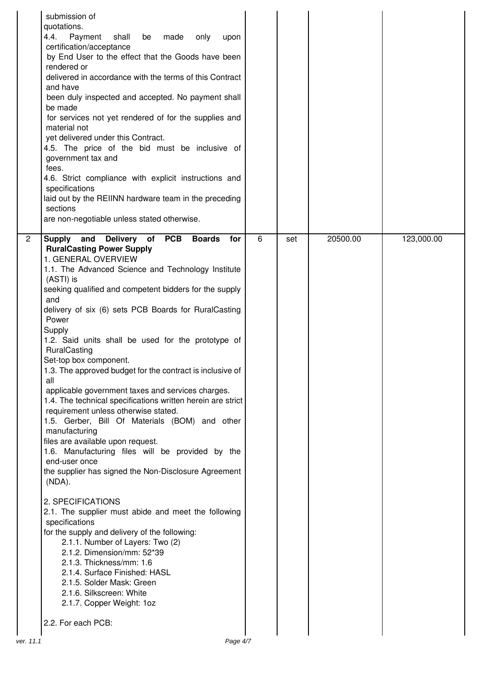|                | submission of<br>quotations.<br>Payment<br>4.4.<br>shall<br>be<br>made<br>only<br>upon<br>certification/acceptance<br>by End User to the effect that the Goods have been<br>rendered or<br>delivered in accordance with the terms of this Contract<br>and have<br>been duly inspected and accepted. No payment shall<br>be made<br>for services not yet rendered of for the supplies and<br>material not<br>yet delivered under this Contract.<br>4.5. The price of the bid must be inclusive of<br>government tax and<br>fees.<br>4.6. Strict compliance with explicit instructions and<br>specifications<br>laid out by the REIINN hardware team in the preceding<br>sections<br>are non-negotiable unless stated otherwise. |   |     |          |            |
|----------------|--------------------------------------------------------------------------------------------------------------------------------------------------------------------------------------------------------------------------------------------------------------------------------------------------------------------------------------------------------------------------------------------------------------------------------------------------------------------------------------------------------------------------------------------------------------------------------------------------------------------------------------------------------------------------------------------------------------------------------|---|-----|----------|------------|
| $\overline{2}$ | <b>PCB</b><br><b>Supply</b><br>and Delivery<br>of<br><b>Boards</b><br>for<br><b>RuralCasting Power Supply</b><br>1. GENERAL OVERVIEW                                                                                                                                                                                                                                                                                                                                                                                                                                                                                                                                                                                           | 6 | set | 20500.00 | 123,000.00 |
|                | 1.1. The Advanced Science and Technology Institute<br>(ASTI) is<br>seeking qualified and competent bidders for the supply                                                                                                                                                                                                                                                                                                                                                                                                                                                                                                                                                                                                      |   |     |          |            |
|                | and                                                                                                                                                                                                                                                                                                                                                                                                                                                                                                                                                                                                                                                                                                                            |   |     |          |            |
|                | delivery of six (6) sets PCB Boards for RuralCasting<br>Power                                                                                                                                                                                                                                                                                                                                                                                                                                                                                                                                                                                                                                                                  |   |     |          |            |
|                | Supply<br>1.2. Said units shall be used for the prototype of<br>RuralCasting<br>Set-top box component.<br>1.3. The approved budget for the contract is inclusive of                                                                                                                                                                                                                                                                                                                                                                                                                                                                                                                                                            |   |     |          |            |
|                | all                                                                                                                                                                                                                                                                                                                                                                                                                                                                                                                                                                                                                                                                                                                            |   |     |          |            |
|                | applicable government taxes and services charges.<br>1.4. The technical specifications written herein are strict<br>requirement unless otherwise stated.<br>1.5. Gerber, Bill Of Materials (BOM) and other<br>manufacturing                                                                                                                                                                                                                                                                                                                                                                                                                                                                                                    |   |     |          |            |
|                | files are available upon request.<br>1.6. Manufacturing files will be provided by the                                                                                                                                                                                                                                                                                                                                                                                                                                                                                                                                                                                                                                          |   |     |          |            |
|                | end-user once<br>the supplier has signed the Non-Disclosure Agreement<br>(NDA).                                                                                                                                                                                                                                                                                                                                                                                                                                                                                                                                                                                                                                                |   |     |          |            |
|                | 2. SPECIFICATIONS<br>2.1. The supplier must abide and meet the following<br>specifications                                                                                                                                                                                                                                                                                                                                                                                                                                                                                                                                                                                                                                     |   |     |          |            |
|                | for the supply and delivery of the following:<br>2.1.1. Number of Layers: Two (2)<br>2.1.2. Dimension/mm: 52*39                                                                                                                                                                                                                                                                                                                                                                                                                                                                                                                                                                                                                |   |     |          |            |
|                | 2.1.3. Thickness/mm: 1.6<br>2.1.4. Surface Finished: HASL                                                                                                                                                                                                                                                                                                                                                                                                                                                                                                                                                                                                                                                                      |   |     |          |            |
|                | 2.1.5. Solder Mask: Green                                                                                                                                                                                                                                                                                                                                                                                                                                                                                                                                                                                                                                                                                                      |   |     |          |            |
|                | 2.1.6. Silkscreen: White                                                                                                                                                                                                                                                                                                                                                                                                                                                                                                                                                                                                                                                                                                       |   |     |          |            |
|                | 2.1.7. Copper Weight: 1oz<br>2.2. For each PCB:                                                                                                                                                                                                                                                                                                                                                                                                                                                                                                                                                                                                                                                                                |   |     |          |            |
| ver. 11.1      | Page 4/7                                                                                                                                                                                                                                                                                                                                                                                                                                                                                                                                                                                                                                                                                                                       |   |     |          |            |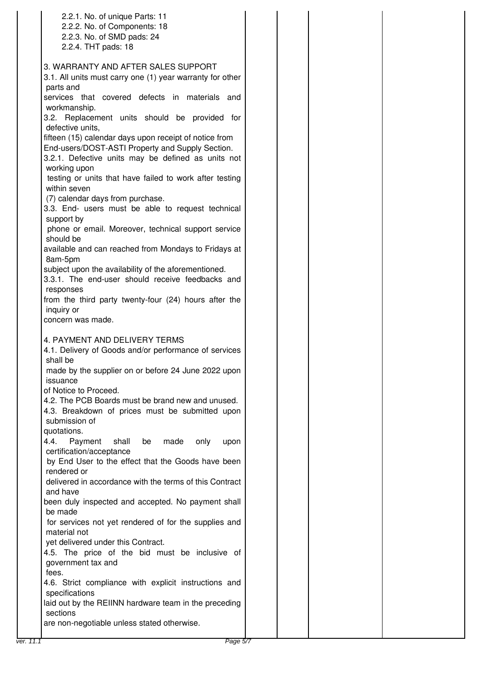| 2.2.1. No. of unique Parts: 11                                                        |  |
|---------------------------------------------------------------------------------------|--|
| 2.2.2. No. of Components: 18                                                          |  |
| 2.2.3. No. of SMD pads: 24                                                            |  |
| 2.2.4. THT pads: 18                                                                   |  |
| 3. WARRANTY AND AFTER SALES SUPPORT                                                   |  |
| 3.1. All units must carry one (1) year warranty for other                             |  |
| parts and                                                                             |  |
| services that covered defects in materials and                                        |  |
| workmanship.                                                                          |  |
| 3.2. Replacement units should be provided for<br>defective units,                     |  |
| fifteen (15) calendar days upon receipt of notice from                                |  |
| End-users/DOST-ASTI Property and Supply Section.                                      |  |
| 3.2.1. Defective units may be defined as units not                                    |  |
| working upon                                                                          |  |
| testing or units that have failed to work after testing<br>within seven               |  |
|                                                                                       |  |
| (7) calendar days from purchase.<br>3.3. End- users must be able to request technical |  |
| support by                                                                            |  |
| phone or email. Moreover, technical support service                                   |  |
| should be                                                                             |  |
| available and can reached from Mondays to Fridays at                                  |  |
| 8am-5pm                                                                               |  |
| subject upon the availability of the aforementioned.                                  |  |
| 3.3.1. The end-user should receive feedbacks and                                      |  |
| responses                                                                             |  |
| from the third party twenty-four (24) hours after the                                 |  |
| inquiry or<br>concern was made.                                                       |  |
|                                                                                       |  |
| 4. PAYMENT AND DELIVERY TERMS                                                         |  |
| 4.1. Delivery of Goods and/or performance of services                                 |  |
| shall be                                                                              |  |
| made by the supplier on or before 24 June 2022 upon                                   |  |
| issuance                                                                              |  |
| of Notice to Proceed.                                                                 |  |
| 4.2. The PCB Boards must be brand new and unused.                                     |  |
| 4.3. Breakdown of prices must be submitted upon                                       |  |
| submission of<br>quotations.                                                          |  |
| 4.4.<br>Payment<br>shall<br>made<br>be<br>only<br>upon                                |  |
| certification/acceptance                                                              |  |
| by End User to the effect that the Goods have been                                    |  |
| rendered or                                                                           |  |
| delivered in accordance with the terms of this Contract                               |  |
| and have                                                                              |  |
| been duly inspected and accepted. No payment shall                                    |  |
| be made                                                                               |  |
| for services not yet rendered of for the supplies and                                 |  |
| material not                                                                          |  |
| yet delivered under this Contract.<br>4.5. The price of the bid must be inclusive of  |  |
| government tax and                                                                    |  |
| fees.                                                                                 |  |
| 4.6. Strict compliance with explicit instructions and                                 |  |
| specifications                                                                        |  |
| laid out by the REIINN hardware team in the preceding                                 |  |
| sections                                                                              |  |
| are non-negotiable unless stated otherwise.                                           |  |
|                                                                                       |  |